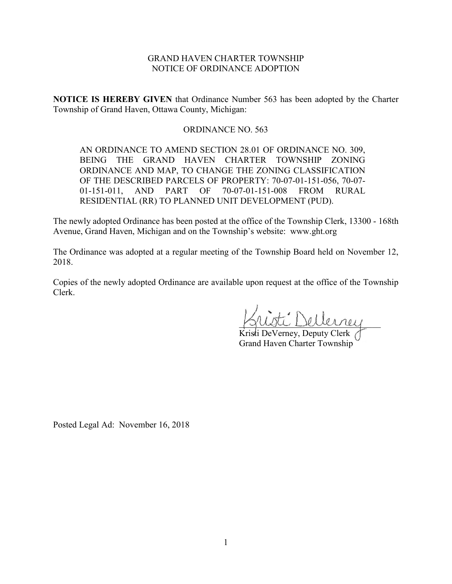# GRAND HAVEN CHARTER TOWNSHIP NOTICE OF ORDINANCE ADOPTION

**NOTICE IS HEREBY GIVEN** that Ordinance Number 563 has been adopted by the Charter Township of Grand Haven, Ottawa County, Michigan:

# ORDINANCE NO. 563

AN ORDINANCE TO AMEND SECTION 28.01 OF ORDINANCE NO. 309, BEING THE GRAND HAVEN CHARTER TOWNSHIP ZONING ORDINANCE AND MAP, TO CHANGE THE ZONING CLASSIFICATION OF THE DESCRIBED PARCELS OF PROPERTY: 70-07-01-151-056, 70-07- 01-151-011, AND PART OF 70-07-01-151-008 FROM RURAL RESIDENTIAL (RR) TO PLANNED UNIT DEVELOPMENT (PUD).

The newly adopted Ordinance has been posted at the office of the Township Clerk, 13300 - 168th Avenue, Grand Haven, Michigan and on the Township's website: www.ght.org

The Ordinance was adopted at a regular meeting of the Township Board held on November 12, 2018.

Copies of the newly adopted Ordinance are available upon request at the office of the Township Clerk.

 $\vec{L}$  Dellerney

Kristi DeVerney, Deputy Clerk Grand Haven Charter Township

Posted Legal Ad: November 16, 2018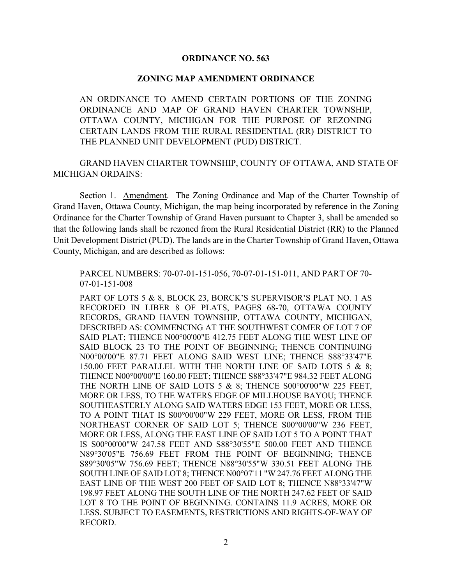## **ORDINANCE NO. 563**

### **ZONING MAP AMENDMENT ORDINANCE**

AN ORDINANCE TO AMEND CERTAIN PORTIONS OF THE ZONING ORDINANCE AND MAP OF GRAND HAVEN CHARTER TOWNSHIP, OTTAWA COUNTY, MICHIGAN FOR THE PURPOSE OF REZONING CERTAIN LANDS FROM THE RURAL RESIDENTIAL (RR) DISTRICT TO THE PLANNED UNIT DEVELOPMENT (PUD) DISTRICT.

GRAND HAVEN CHARTER TOWNSHIP, COUNTY OF OTTAWA, AND STATE OF MICHIGAN ORDAINS:

Section 1. Amendment. The Zoning Ordinance and Map of the Charter Township of Grand Haven, Ottawa County, Michigan, the map being incorporated by reference in the Zoning Ordinance for the Charter Township of Grand Haven pursuant to Chapter 3, shall be amended so that the following lands shall be rezoned from the Rural Residential District (RR) to the Planned Unit Development District (PUD). The lands are in the Charter Township of Grand Haven, Ottawa County, Michigan, and are described as follows:

PARCEL NUMBERS: 70-07-01-151-056, 70-07-01-151-011, AND PART OF 70- 07-01-151-008

PART OF LOTS 5 & 8, BLOCK 23, BORCK'S SUPERVISOR'S PLAT NO. 1 AS RECORDED IN LIBER 8 OF PLATS, PAGES 68-70, OTTAWA COUNTY RECORDS, GRAND HAVEN TOWNSHIP, OTTAWA COUNTY, MICHIGAN, DESCRIBED AS: COMMENCING AT THE SOUTHWEST COMER OF LOT 7 OF SAID PLAT; THENCE N00°00'00"E 412.75 FEET ALONG THE WEST LINE OF SAID BLOCK 23 TO THE POINT OF BEGINNING; THENCE CONTINUING N00°00'00"E 87.71 FEET ALONG SAID WEST LINE; THENCE S88°33'47"E 150.00 FEET PARALLEL WITH THE NORTH LINE OF SAID LOTS 5 & 8; THENCE N00°00'00"E 160.00 FEET; THENCE S88°33'47"E 984.32 FEET ALONG THE NORTH LINE OF SAID LOTS 5 & 8; THENCE S00°00'00"W 225 FEET, MORE OR LESS, TO THE WATERS EDGE OF MILLHOUSE BAYOU; THENCE SOUTHEASTERLY ALONG SAID WATERS EDGE 153 FEET, MORE OR LESS, TO A POINT THAT IS S00°00'00"W 229 FEET, MORE OR LESS, FROM THE NORTHEAST CORNER OF SAID LOT 5; THENCE S00°00'00"W 236 FEET, MORE OR LESS, ALONG THE EAST LINE OF SAID LOT 5 TO A POINT THAT IS S00°00'00"W 247.58 FEET AND S88°30'55"E 500.00 FEET AND THENCE N89°30'05"E 756.69 FEET FROM THE POINT OF BEGINNING; THENCE S89°30'05"W 756.69 FEET; THENCE N88°30'55"W 330.51 FEET ALONG THE SOUTH LINE OF SAID LOT 8; THENCE N00°07'11 "W 247.76 FEET ALONG THE EAST LINE OF THE WEST 200 FEET OF SAID LOT 8; THENCE N88°33'47"W 198.97 FEET ALONG THE SOUTH LINE OF THE NORTH 247.62 FEET OF SAID LOT 8 TO THE POINT OF BEGINNING. CONTAINS 11.9 ACRES, MORE OR LESS. SUBJECT TO EASEMENTS, RESTRICTIONS AND RIGHTS-OF-WAY OF RECORD.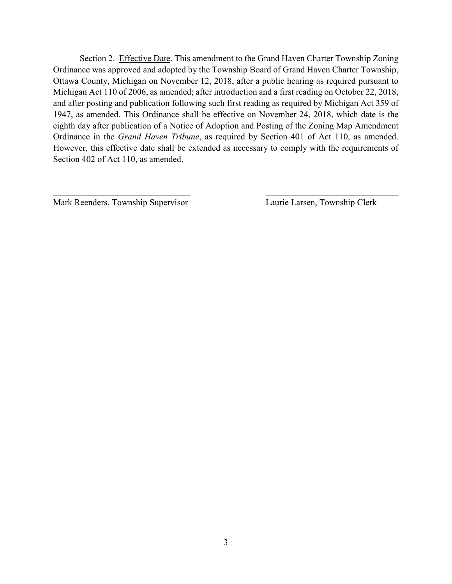Section 2. Effective Date. This amendment to the Grand Haven Charter Township Zoning Ordinance was approved and adopted by the Township Board of Grand Haven Charter Township, Ottawa County, Michigan on November 12, 2018, after a public hearing as required pursuant to Michigan Act 110 of 2006, as amended; after introduction and a first reading on October 22, 2018, and after posting and publication following such first reading as required by Michigan Act 359 of 1947, as amended. This Ordinance shall be effective on November 24, 2018, which date is the eighth day after publication of a Notice of Adoption and Posting of the Zoning Map Amendment Ordinance in the *Grand Haven Tribune*, as required by Section 401 of Act 110, as amended. However, this effective date shall be extended as necessary to comply with the requirements of Section 402 of Act 110, as amended.

 $\mathcal{L}_\text{max}$  , and the contribution of the contribution of the contribution of the contribution of the contribution of the contribution of the contribution of the contribution of the contribution of the contribution of t

Mark Reenders, Township Supervisor Laurie Larsen, Township Clerk